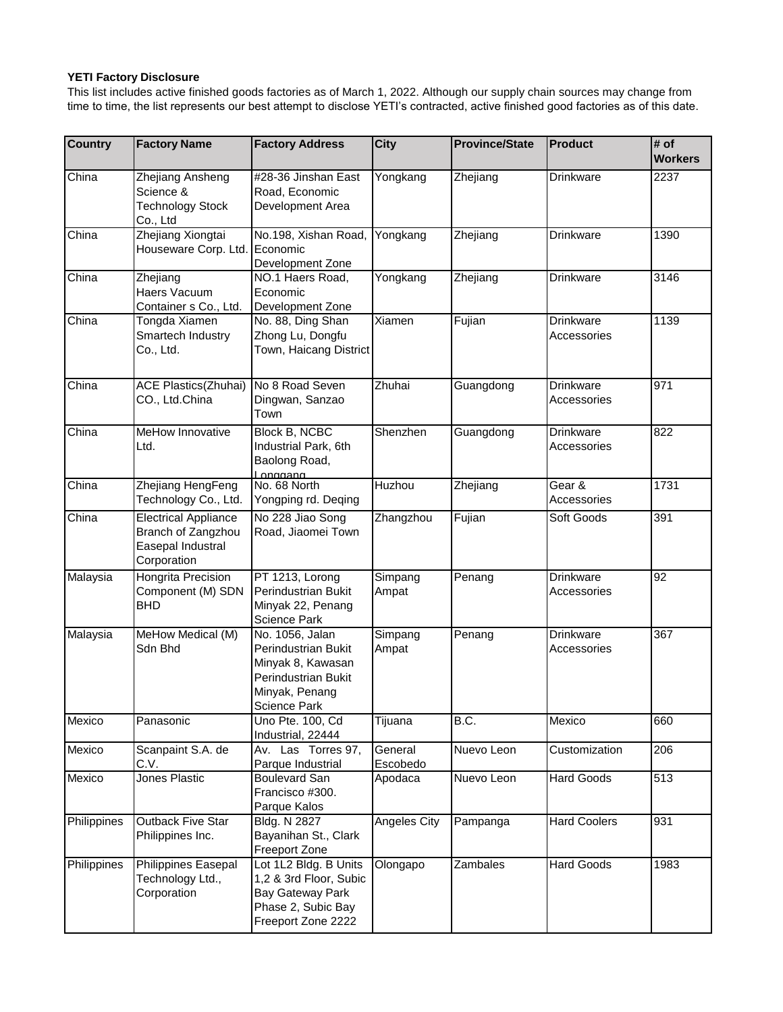## **YETI Factory Disclosure**

This list includes active finished goods factories as of March 1, 2022. Although our supply chain sources may change from time to time, the list represents our best attempt to disclose YETI's contracted, active finished good factories as of this date.

| <b>Country</b> | <b>Factory Name</b>                                                                   | <b>Factory Address</b>                                                                                               | <b>City</b>         | <b>Province/State</b> | <b>Product</b>                  | # of<br><b>Workers</b> |
|----------------|---------------------------------------------------------------------------------------|----------------------------------------------------------------------------------------------------------------------|---------------------|-----------------------|---------------------------------|------------------------|
| China          | Zhejiang Ansheng<br>Science &<br><b>Technology Stock</b><br>Co., Ltd                  | #28-36 Jinshan East<br>Road, Economic<br>Development Area                                                            | Yongkang            | Zhejiang              | Drinkware                       | 2237                   |
| China          | Zhejiang Xiongtai<br>Houseware Corp. Ltd.                                             | No.198, Xishan Road,<br>Economic<br>Development Zone                                                                 | Yongkang            | Zhejiang              | Drinkware                       | 1390                   |
| China          | Zhejiang<br>Haers Vacuum<br>Container s Co., Ltd.                                     | NO.1 Haers Road,<br>Economic<br>Development Zone                                                                     | Yongkang            | Zhejiang              | <b>Drinkware</b>                | 3146                   |
| China          | Tongda Xiamen<br>Smartech Industry<br>Co., Ltd.                                       | No. 88, Ding Shan<br>Zhong Lu, Dongfu<br>Town, Haicang District                                                      | Xiamen              | Fujian                | Drinkware<br>Accessories        | 1139                   |
| China          | ACE Plastics(Zhuhai)<br>CO., Ltd.China                                                | No 8 Road Seven<br>Dingwan, Sanzao<br>Town                                                                           | Zhuhai              | Guangdong             | <b>Drinkware</b><br>Accessories | 971                    |
| China          | MeHow Innovative<br>Ltd.                                                              | <b>Block B, NCBC</b><br>Industrial Park, 6th<br>Baolong Road,<br>Longgang                                            | Shenzhen            | Guangdong             | Drinkware<br>Accessories        | $\overline{822}$       |
| China          | Zhejiang HengFeng<br>Technology Co., Ltd.                                             | No. 68 North<br>Yongping rd. Deqing                                                                                  | Huzhou              | Zhejiang              | Gear &<br>Accessories           | 1731                   |
| China          | <b>Electrical Appliance</b><br>Branch of Zangzhou<br>Easepal Industral<br>Corporation | No 228 Jiao Song<br>Road, Jiaomei Town                                                                               | Zhangzhou           | Fujian                | Soft Goods                      | 391                    |
| Malaysia       | Hongrita Precision<br>Component (M) SDN<br><b>BHD</b>                                 | PT 1213, Lorong<br>Perindustrian Bukit<br>Minyak 22, Penang<br>Science Park                                          | Simpang<br>Ampat    | Penang                | Drinkware<br>Accessories        | 92                     |
| Malaysia       | MeHow Medical (M)<br>Sdn Bhd                                                          | No. 1056, Jalan<br>Perindustrian Bukit<br>Minyak 8, Kawasan<br>Perindustrian Bukit<br>Minyak, Penang<br>Science Park | Simpang<br>Ampat    | Penang                | Drinkware<br>Accessories        | 367                    |
| Mexico         | Panasonic                                                                             | Uno Pte. 100, Cd<br>Industrial, 22444                                                                                | Tijuana             | B.C.                  | Mexico                          | 660                    |
| Mexico         | Scanpaint S.A. de<br>C.V.                                                             | Av. Las Torres 97,<br>Parque Industrial                                                                              | General<br>Escobedo | Nuevo Leon            | Customization                   | 206                    |
| Mexico         | Jones Plastic                                                                         | <b>Boulevard San</b><br>Francisco #300.<br>Parque Kalos                                                              | Apodaca             | Nuevo Leon            | <b>Hard Goods</b>               | 513                    |
| Philippines    | <b>Outback Five Star</b><br>Philippines Inc.                                          | Bldg. N 2827<br>Bayanihan St., Clark<br>Freeport Zone                                                                | Angeles City        | Pampanga              | <b>Hard Coolers</b>             | 931                    |
| Philippines    | <b>Philippines Easepal</b><br>Technology Ltd.,<br>Corporation                         | Lot 1L2 Bldg. B Units<br>1,2 & 3rd Floor, Subic<br>Bay Gateway Park<br>Phase 2, Subic Bay<br>Freeport Zone 2222      | Olongapo            | Zambales              | <b>Hard Goods</b>               | 1983                   |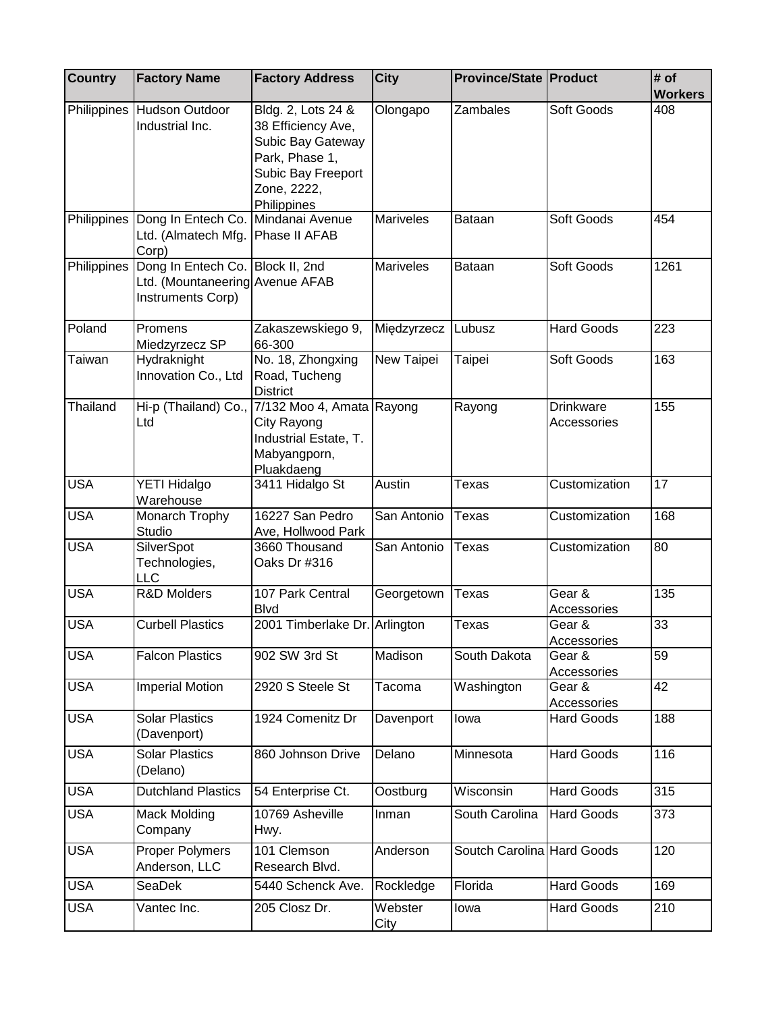| <b>Country</b>     | <b>Factory Name</b>                                                                      | <b>Factory Address</b>                                                                                                              | <b>City</b>      | <b>Province/State   Product</b> |                                 | # of<br><b>Workers</b> |
|--------------------|------------------------------------------------------------------------------------------|-------------------------------------------------------------------------------------------------------------------------------------|------------------|---------------------------------|---------------------------------|------------------------|
| Philippines        | Hudson Outdoor<br>Industrial Inc.                                                        | Bldg. 2, Lots 24 &<br>38 Efficiency Ave,<br>Subic Bay Gateway<br>Park, Phase 1,<br>Subic Bay Freeport<br>Zone, 2222,<br>Philippines | Olongapo         | Zambales                        | Soft Goods                      | 408                    |
|                    | Philippines Dong In Entech Co.<br>Ltd. (Almatech Mfg.<br>Corp)                           | Mindanai Avenue<br>Phase II AFAB                                                                                                    | <b>Mariveles</b> | Bataan                          | Soft Goods                      | 454                    |
| <b>Philippines</b> | Dong In Entech Co. Block II, 2nd<br>Ltd. (Mountaneering Avenue AFAB<br>Instruments Corp) |                                                                                                                                     | <b>Mariveles</b> | Bataan                          | Soft Goods                      | 1261                   |
| Poland             | Promens<br>Miedzyrzecz SP                                                                | Zakaszewskiego 9,<br>66-300                                                                                                         | Międzyrzecz      | Lubusz                          | <b>Hard Goods</b>               | 223                    |
| Taiwan             | Hydraknight<br>Innovation Co., Ltd                                                       | No. 18, Zhongxing<br>Road, Tucheng<br><b>District</b>                                                                               | New Taipei       | Taipei                          | Soft Goods                      | 163                    |
| Thailand           | Hi-p (Thailand) Co.,<br>Ltd                                                              | 7/132 Moo 4, Amata Rayong<br>City Rayong<br>Industrial Estate, T.<br>Mabyangporn,<br>Pluakdaeng                                     |                  | Rayong                          | <b>Drinkware</b><br>Accessories | 155                    |
| <b>USA</b>         | YETI Hidalgo<br>Warehouse                                                                | 3411 Hidalgo St                                                                                                                     | Austin           | Texas                           | Customization                   | 17                     |
| <b>USA</b>         | Monarch Trophy<br>Studio                                                                 | 16227 San Pedro<br>Ave, Hollwood Park                                                                                               | San Antonio      | Texas                           | Customization                   | 168                    |
| <b>USA</b>         | SilverSpot<br>Technologies,<br><b>LLC</b>                                                | 3660 Thousand<br>Oaks Dr #316                                                                                                       | San Antonio      | Texas                           | Customization                   | 80                     |
| <b>USA</b>         | <b>R&amp;D Molders</b>                                                                   | 107 Park Central<br><b>Blvd</b>                                                                                                     | Georgetown       | Texas                           | Gear &<br>Accessories           | 135                    |
| <b>USA</b>         | <b>Curbell Plastics</b>                                                                  | 2001 Timberlake Dr. Arlington                                                                                                       |                  | Texas                           | Gear &<br>Accessories           | 33                     |
| <b>USA</b>         | <b>Falcon Plastics</b>                                                                   | 902 SW 3rd St                                                                                                                       | Madison          | South Dakota                    | Gear &<br>Accessories           | 59                     |
| <b>USA</b>         | <b>Imperial Motion</b>                                                                   | 2920 S Steele St                                                                                                                    | Tacoma           | Washington                      | Gear &<br>Accessories           | 42                     |
| <b>USA</b>         | <b>Solar Plastics</b><br>(Davenport)                                                     | 1924 Comenitz Dr                                                                                                                    | Davenport        | lowa                            | <b>Hard Goods</b>               | 188                    |
| <b>USA</b>         | <b>Solar Plastics</b><br>(Delano)                                                        | 860 Johnson Drive                                                                                                                   | Delano           | Minnesota                       | <b>Hard Goods</b>               | 116                    |
| <b>USA</b>         | <b>Dutchland Plastics</b>                                                                | 54 Enterprise Ct.                                                                                                                   | Oostburg         | Wisconsin                       | <b>Hard Goods</b>               | 315                    |
| <b>USA</b>         | Mack Molding<br>Company                                                                  | 10769 Asheville<br>Hwy.                                                                                                             | Inman            | South Carolina                  | <b>Hard Goods</b>               | 373                    |
| <b>USA</b>         | <b>Proper Polymers</b><br>Anderson, LLC                                                  | 101 Clemson<br>Research Blvd.                                                                                                       | Anderson         | Soutch Carolina Hard Goods      |                                 | 120                    |
| <b>USA</b>         | SeaDek                                                                                   | 5440 Schenck Ave.                                                                                                                   | Rockledge        | Florida                         | <b>Hard Goods</b>               | 169                    |
| <b>USA</b>         | Vantec Inc.                                                                              | 205 Closz Dr.                                                                                                                       | Webster<br>City  | lowa                            | <b>Hard Goods</b>               | 210                    |